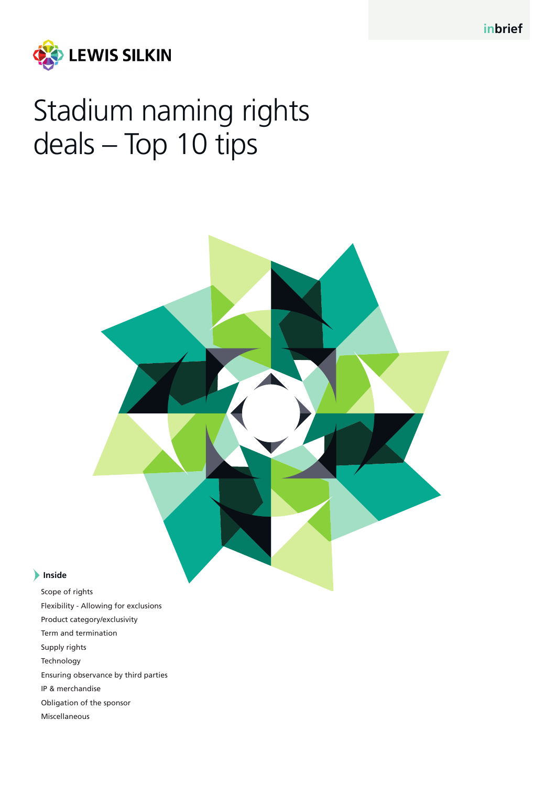

# Stadium naming rights deals – Top 10 tips

# **Inside**

Scope of rights Flexibility - Allowing for exclusions Product category/exclusivity Term and termination Supply rights Technology Ensuring observance by third parties IP & merchandise Obligation of the sponsor Miscellaneous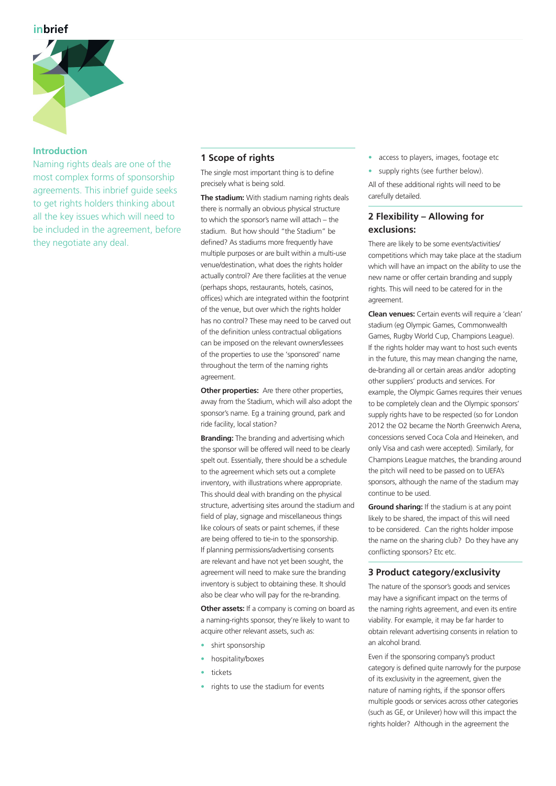

#### **Introduction**

Naming rights deals are one of the most complex forms of sponsorship agreements. This inbrief guide seeks to get rights holders thinking about all the key issues which will need to be included in the agreement, before they negotiate any deal.

# **1 Scope of rights**

The single most important thing is to define precisely what is being sold.

**The stadium:** With stadium naming rights deals there is normally an obvious physical structure to which the sponsor's name will attach – the stadium. But how should "the Stadium" be defined? As stadiums more frequently have multiple purposes or are built within a multi-use venue/destination, what does the rights holder actually control? Are there facilities at the venue (perhaps shops, restaurants, hotels, casinos, offices) which are integrated within the footprint of the venue, but over which the rights holder has no control? These may need to be carved out of the definition unless contractual obligations can be imposed on the relevant owners/lessees of the properties to use the 'sponsored' name throughout the term of the naming rights agreement.

**Other properties:** Are there other properties, away from the Stadium, which will also adopt the sponsor's name. Eg a training ground, park and ride facility, local station?

**Branding:** The branding and advertising which the sponsor will be offered will need to be clearly spelt out. Essentially, there should be a schedule to the agreement which sets out a complete inventory, with illustrations where appropriate. This should deal with branding on the physical structure, advertising sites around the stadium and field of play, signage and miscellaneous things like colours of seats or paint schemes, if these are being offered to tie-in to the sponsorship. If planning permissions/advertising consents are relevant and have not yet been sought, the agreement will need to make sure the branding inventory is subject to obtaining these. It should also be clear who will pay for the re-branding.

**Other assets:** If a company is coming on board as a naming-rights sponsor, they're likely to want to acquire other relevant assets, such as:

- shirt sponsorship
- hospitality/boxes
- tickets
- rights to use the stadium for events
- access to players, images, footage etc
- supply rights (see further below).

All of these additional rights will need to be carefully detailed.

# **2 Flexibility – Allowing for exclusions:**

There are likely to be some events/activities/ competitions which may take place at the stadium which will have an impact on the ability to use the new name or offer certain branding and supply rights. This will need to be catered for in the agreement.

**Clean venues:** Certain events will require a 'clean' stadium (eg Olympic Games, Commonwealth Games, Rugby World Cup, Champions League). If the rights holder may want to host such events in the future, this may mean changing the name, de-branding all or certain areas and/or adopting other suppliers' products and services. For example, the Olympic Games requires their venues to be completely clean and the Olympic sponsors' supply rights have to be respected (so for London 2012 the O2 became the North Greenwich Arena concessions served Coca Cola and Heineken, and only Visa and cash were accepted). Similarly, for Champions League matches, the branding around the pitch will need to be passed on to UEFA's sponsors, although the name of the stadium may continue to be used.

**Ground sharing:** If the stadium is at any point likely to be shared, the impact of this will need to be considered. Can the rights holder impose the name on the sharing club? Do they have any conflicting sponsors? Etc etc.

## **3 Product category/exclusivity**

The nature of the sponsor's goods and services may have a significant impact on the terms of the naming rights agreement, and even its entire viability. For example, it may be far harder to obtain relevant advertising consents in relation to an alcohol brand.

Even if the sponsoring company's product category is defined quite narrowly for the purpose of its exclusivity in the agreement, given the nature of naming rights, if the sponsor offers multiple goods or services across other categories (such as GE, or Unilever) how will this impact the rights holder? Although in the agreement the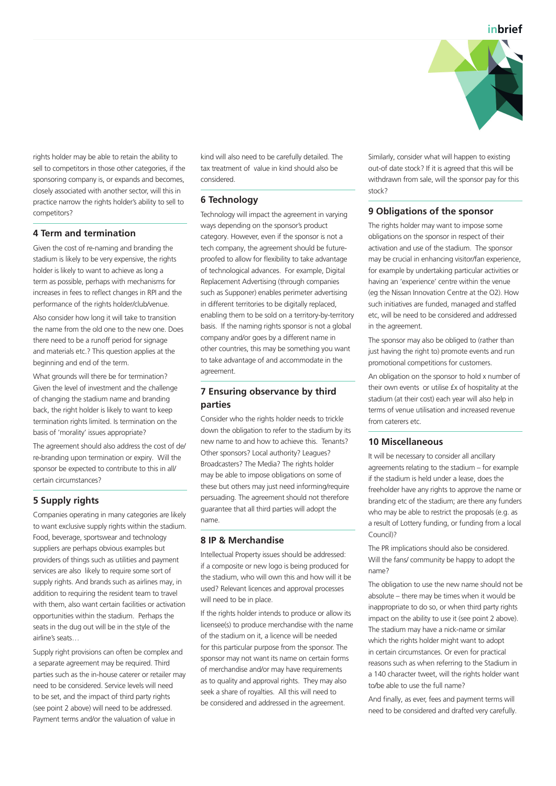

rights holder may be able to retain the ability to sell to competitors in those other categories, if the sponsoring company is, or expands and becomes, closely associated with another sector, will this in practice narrow the rights holder's ability to sell to competitors?

## **4 Term and termination**

Given the cost of re-naming and branding the stadium is likely to be very expensive, the rights holder is likely to want to achieve as long a term as possible, perhaps with mechanisms for increases in fees to reflect changes in RPI and the performance of the rights holder/club/venue.

Also consider how long it will take to transition the name from the old one to the new one. Does there need to be a runoff period for signage and materials etc.? This question applies at the beginning and end of the term.

What grounds will there be for termination? Given the level of investment and the challenge of changing the stadium name and branding back, the right holder is likely to want to keep termination rights limited. Is termination on the basis of 'morality' issues appropriate?

The agreement should also address the cost of de/ re-branding upon termination or expiry. Will the sponsor be expected to contribute to this in all/ certain circumstances?

# **5 Supply rights**

Companies operating in many categories are likely to want exclusive supply rights within the stadium. Food, beverage, sportswear and technology suppliers are perhaps obvious examples but providers of things such as utilities and payment services are also likely to require some sort of supply rights. And brands such as airlines may, in addition to requiring the resident team to travel with them, also want certain facilities or activation opportunities within the stadium. Perhaps the seats in the dug out will be in the style of the airline's seats…

Supply right provisions can often be complex and a separate agreement may be required. Third parties such as the in-house caterer or retailer may need to be considered. Service levels will need to be set, and the impact of third party rights (see point 2 above) will need to be addressed. Payment terms and/or the valuation of value in

kind will also need to be carefully detailed. The tax treatment of value in kind should also be considered.

# **6 Technology**

Technology will impact the agreement in varying ways depending on the sponsor's product category. However, even if the sponsor is not a tech company, the agreement should be futureproofed to allow for flexibility to take advantage of technological advances. For example, Digital Replacement Advertising (through companies such as Supponer) enables perimeter advertising in different territories to be digitally replaced, enabling them to be sold on a territory-by-territory basis. If the naming rights sponsor is not a global company and/or goes by a different name in other countries, this may be something you want to take advantage of and accommodate in the agreement.

# **7 Ensuring observance by third parties**

Consider who the rights holder needs to trickle down the obligation to refer to the stadium by its new name to and how to achieve this. Tenants? Other sponsors? Local authority? Leagues? Broadcasters? The Media? The rights holder may be able to impose obligations on some of these but others may just need informing/require persuading. The agreement should not therefore guarantee that all third parties will adopt the name.

## **8 IP & Merchandise**

Intellectual Property issues should be addressed: if a composite or new logo is being produced for the stadium, who will own this and how will it be used? Relevant licences and approval processes will need to be in place.

If the rights holder intends to produce or allow its licensee(s) to produce merchandise with the name of the stadium on it, a licence will be needed for this particular purpose from the sponsor. The sponsor may not want its name on certain forms of merchandise and/or may have requirements as to quality and approval rights. They may also seek a share of royalties. All this will need to be considered and addressed in the agreement.

Similarly, consider what will happen to existing out-of date stock? If it is agreed that this will be withdrawn from sale, will the sponsor pay for this stock?

## **9 Obligations of the sponsor**

The rights holder may want to impose some obligations on the sponsor in respect of their activation and use of the stadium. The sponsor may be crucial in enhancing visitor/fan experience, for example by undertaking particular activities or having an 'experience' centre within the venue (eg the Nissan Innovation Centre at the O2). How such initiatives are funded, managed and staffed etc, will be need to be considered and addressed in the agreement.

The sponsor may also be obliged to (rather than just having the right to) promote events and run promotional competitions for customers.

An obligation on the sponsor to hold x number of their own events or utilise £x of hospitality at the stadium (at their cost) each year will also help in terms of venue utilisation and increased revenue from caterers etc.

## **10 Miscellaneous**

It will be necessary to consider all ancillary agreements relating to the stadium – for example if the stadium is held under a lease, does the freeholder have any rights to approve the name or branding etc of the stadium; are there any funders who may be able to restrict the proposals (e.g. as a result of Lottery funding, or funding from a local Council)?

The PR implications should also be considered. Will the fans/ community be happy to adopt the name?

The obligation to use the new name should not be absolute – there may be times when it would be inappropriate to do so, or when third party rights impact on the ability to use it (see point 2 above). The stadium may have a nick-name or similar which the rights holder might want to adopt in certain circumstances. Or even for practical reasons such as when referring to the Stadium in a 140 character tweet, will the rights holder want to/be able to use the full name?

And finally, as ever, fees and payment terms will need to be considered and drafted very carefully.